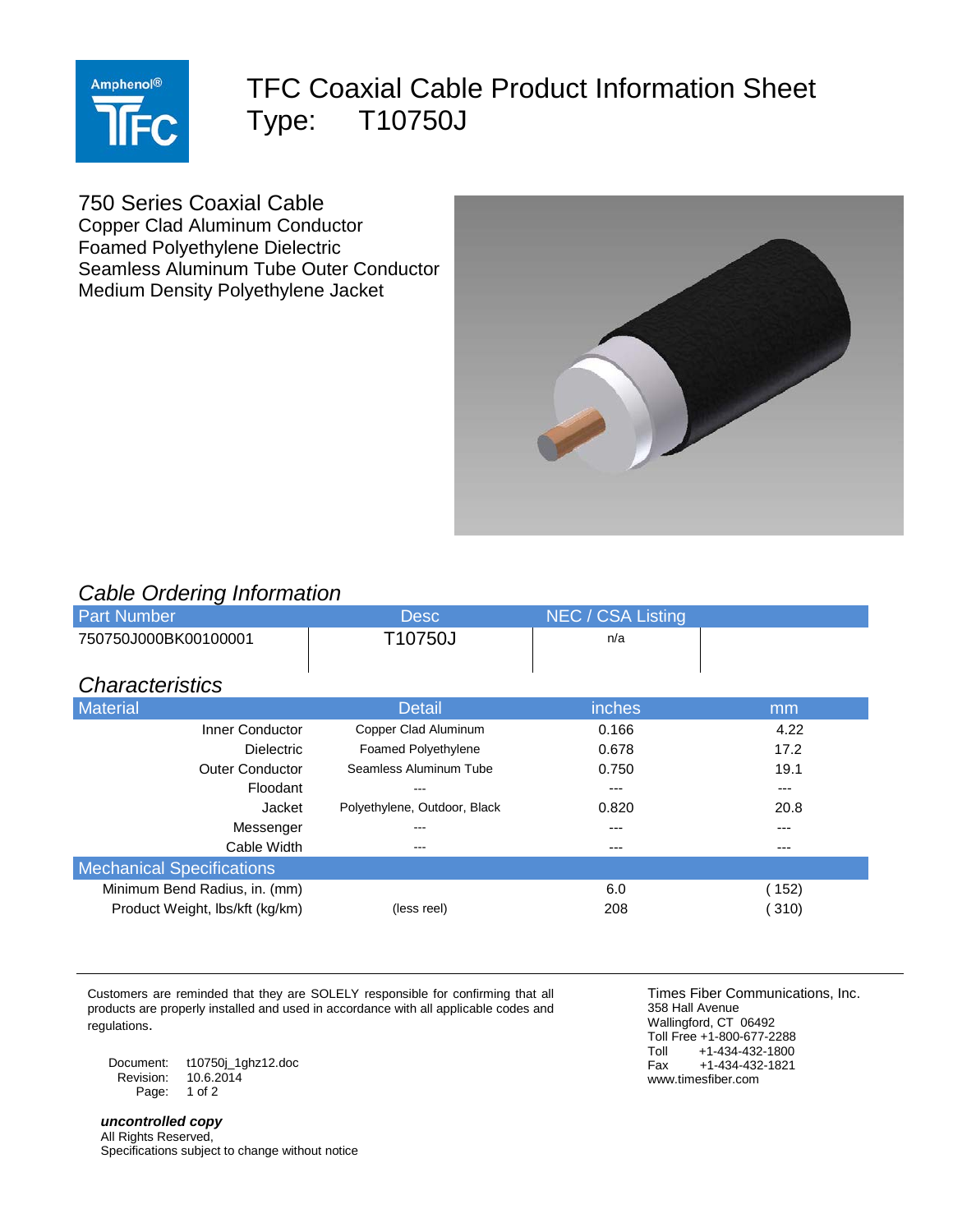

## TFC Coaxial Cable Product Information Sheet Type: T10750J

750 Series Coaxial Cable Copper Clad Aluminum Conductor Foamed Polyethylene Dielectric Seamless Aluminum Tube Outer Conductor Medium Density Polyethylene Jacket



## *Cable Ordering Information*

| <b>Desc</b>                  | NEC / CSA Listing |       |
|------------------------------|-------------------|-------|
| T10750J                      | n/a               |       |
|                              |                   |       |
|                              |                   |       |
| <b>Detail</b>                | inches            | mm    |
| Copper Clad Aluminum         | 0.166             | 4.22  |
| <b>Foamed Polyethylene</b>   | 0.678             | 17.2  |
| Seamless Aluminum Tube       | 0.750             | 19.1  |
| ---                          | $---$             | ---   |
| Polyethylene, Outdoor, Black | 0.820             | 20.8  |
| ---                          | ---               | ---   |
| ---                          | ---               | ---   |
|                              |                   |       |
|                              | 6.0               | (152) |
| (less reel)                  | 208               | 310)  |
|                              |                   |       |

Customers are reminded that they are SOLELY responsible for confirming that all products are properly installed and used in accordance with all applicable codes and regulations.

Document: t10750j\_1ghz12.doc  $10.6.2014$ Page: 1 of 2

*uncontrolled copy* All Rights Reserved, Specifications subject to change without notice

Times Fiber Communications, Inc. 358 Hall Avenue Wallingford, CT 06492 Toll Free +1-800-677-2288<br>Toll +1-434-432-1800 Toll +1-434-432-1800<br>Fax +1-434-432-1821  $+1-434-432-1821$ www.timesfiber.com